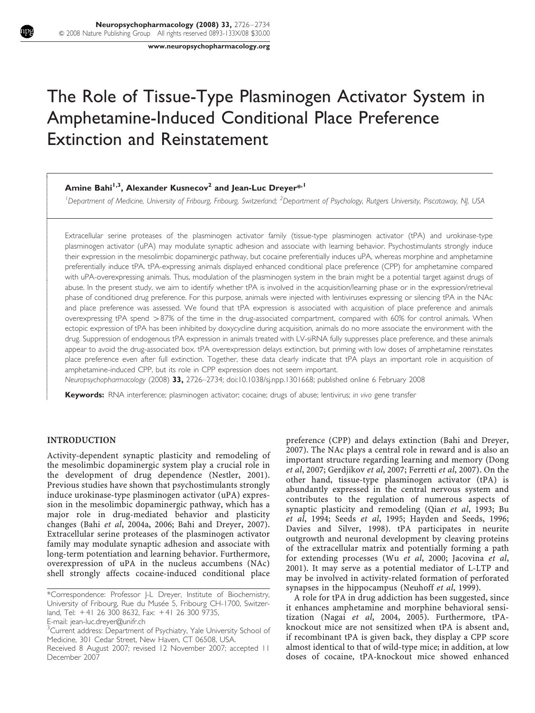www.neuropsychopharmacology.org

# The Role of Tissue-Type Plasminogen Activator System in Amphetamine-Induced Conditional Place Preference Extinction and Reinstatement

# Amine Bahi<sup>1,3</sup>, Alexander Kusnecov<sup>2</sup> and Jean-Luc Dreyer<sup>\*, I</sup>

<sup>1</sup>Department of Medicine, University of Fribourg, Fribourg, Switzerland; <sup>2</sup>Department of Psychology, Rutgers University, Piscataway, NJ, USA

Extracellular serine proteases of the plasminogen activator family (tissue-type plasminogen activator (tPA) and urokinase-type plasminogen activator (uPA) may modulate synaptic adhesion and associate with learning behavior. Psychostimulants strongly induce their expression in the mesolimbic dopaminergic pathway, but cocaine preferentially induces uPA, whereas morphine and amphetamine preferentially induce tPA. tPA-expressing animals displayed enhanced conditional place preference (CPP) for amphetamine compared with uPA-overexpressing animals. Thus, modulation of the plasminogen system in the brain might be a potential target against drugs of abuse. In the present study, we aim to identify whether tPA is involved in the acquisition/learning phase or in the expression/retrieval phase of conditioned drug preference. For this purpose, animals were injected with lentiviruses expressing or silencing tPA in the NAc and place preference was assessed. We found that tPA expression is associated with acquisition of place preference and animals overexpressing tPA spend >87% of the time in the drug-associated compartment, compared with 60% for control animals. When ectopic expression of tPA has been inhibited by doxycycline during acquisition, animals do no more associate the environment with the drug. Suppression of endogenous tPA expression in animals treated with LV-siRNA fully suppresses place preference, and these animals appear to avoid the drug-associated box. tPA overexpression delays extinction, but priming with low doses of amphetamine reinstates place preference even after full extinction. Together, these data clearly indicate that tPA plays an important role in acquisition of amphetamine-induced CPP, but its role in CPP expression does not seem important.

Neuropsychopharmacology (2008) 33, 2726–2734; doi:10.1038/sj.npp.1301668; published online 6 February 2008

Keywords: RNA interference; plasminogen activator; cocaine; drugs of abuse; lentivirus; in vivo gene transfer

## INTRODUCTION

ſ  $\overline{\phantom{a}}$  $\overline{\phantom{a}}$  $\overline{\phantom{a}}$  $\overline{\phantom{a}}$  $\overline{\phantom{a}}$  $\overline{\phantom{a}}$  $\overline{\phantom{a}}$  $\overline{\phantom{a}}$ ł ſ  $\overline{\phantom{a}}$  $\overline{\phantom{a}}$  $\overline{\phantom{a}}$  $\overline{\phantom{a}}$  $\overline{\phantom{a}}$  $\mid$  $\overline{\phantom{a}}$  $\overline{\phantom{a}}$  $\overline{\phantom{a}}$  $\overline{\phantom{a}}$ I  $\overline{\phantom{a}}$  $\overline{\phantom{a}}$  $\overline{\phantom{a}}$  $\overline{\phantom{a}}$  $\overline{\phantom{a}}$ I  $\overline{\phantom{a}}$  $\overline{\phantom{a}}$  $\overline{\phantom{a}}$  $\overline{\phantom{a}}$  $\overline{\phantom{a}}$  $\overline{\phantom{a}}$  $\overline{\phantom{a}}$  $\overline{\phantom{a}}$  $\overline{\phantom{a}}$  $\overline{\phantom{a}}$  $\mid$  $\overline{\phantom{a}}$  $\overline{\phantom{a}}$  $\overline{\phantom{a}}$  $\overline{\phantom{a}}$ I  $\mid$  $\overline{\phantom{a}}$  $\overline{\phantom{a}}$  $\mid$ 

Activity-dependent synaptic plasticity and remodeling of the mesolimbic dopaminergic system play a crucial role in the development of drug dependence (Nestler, 2001). Previous studies have shown that psychostimulants strongly induce urokinase-type plasminogen activator (uPA) expression in the mesolimbic dopaminergic pathway, which has a major role in drug-mediated behavior and plasticity changes (Bahi et al, 2004a, 2006; Bahi and Dreyer, 2007). Extracellular serine proteases of the plasminogen activator family may modulate synaptic adhesion and associate with long-term potentiation and learning behavior. Furthermore, overexpression of uPA in the nucleus accumbens (NAc) shell strongly affects cocaine-induced conditional place preference (CPP) and delays extinction (Bahi and Dreyer, 2007). The NAc plays a central role in reward and is also an important structure regarding learning and memory (Dong et al, 2007; Gerdjikov et al, 2007; Ferretti et al, 2007). On the other hand, tissue-type plasminogen activator (tPA) is abundantly expressed in the central nervous system and contributes to the regulation of numerous aspects of synaptic plasticity and remodeling (Qian et al, 1993; Bu et al, 1994; Seeds et al, 1995; Hayden and Seeds, 1996; Davies and Silver, 1998). tPA participates in neurite outgrowth and neuronal development by cleaving proteins of the extracellular matrix and potentially forming a path for extending processes (Wu et al, 2000; Jacovina et al, 2001). It may serve as a potential mediator of L-LTP and may be involved in activity-related formation of perforated synapses in the hippocampus (Neuhoff et al, 1999).

A role for tPA in drug addiction has been suggested, since it enhances amphetamine and morphine behavioral sensitization (Nagai et al, 2004, 2005). Furthermore, tPAknockout mice are not sensitized when tPA is absent and, if recombinant tPA is given back, they display a CPP score almost identical to that of wild-type mice; in addition, at low doses of cocaine, tPA-knockout mice showed enhanced

<sup>\*</sup>Correspondence: Professor J-L Dreyer, Institute of Biochemistry, University of Fribourg, Rue du Musée 5, Fribourg CH-1700, Switzerland, Tel: + 41 26 300 8632, Fax: + 41 26 300 9735, E-mail: jean-luc.dreyer@unifr.ch

<sup>&</sup>lt;sup>3</sup>Current address: Department of Psychiatry, Yale University School of Medicine, 301 Cedar Street, New Haven, CT 06508, USA.

Received 8 August 2007; revised 12 November 2007; accepted 11 December 2007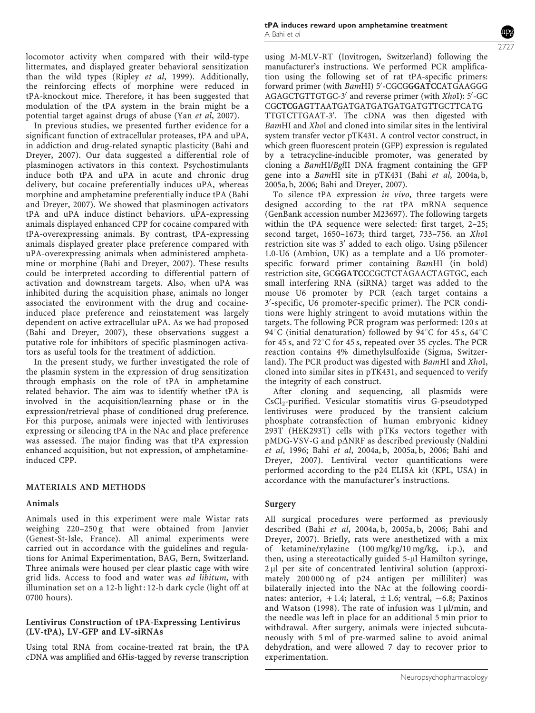locomotor activity when compared with their wild-type littermates, and displayed greater behavioral sensitization than the wild types (Ripley et al, 1999). Additionally, the reinforcing effects of morphine were reduced in tPA-knockout mice. Therefore, it has been suggested that modulation of the tPA system in the brain might be a potential target against drugs of abuse (Yan et al, 2007).

In previous studies, we presented further evidence for a significant function of extracellular proteases, tPA and uPA, in addiction and drug-related synaptic plasticity (Bahi and Dreyer, 2007). Our data suggested a differential role of plasminogen activators in this context. Psychostimulants induce both tPA and uPA in acute and chronic drug delivery, but cocaine preferentially induces uPA, whereas morphine and amphetamine preferentially induce tPA (Bahi and Dreyer, 2007). We showed that plasminogen activators tPA and uPA induce distinct behaviors. uPA-expressing animals displayed enhanced CPP for cocaine compared with tPA-overexpressing animals. By contrast, tPA-expressing animals displayed greater place preference compared with uPA-overexpressing animals when administered amphetamine or morphine (Bahi and Dreyer, 2007). These results could be interpreted according to differential pattern of activation and downstream targets. Also, when uPA was inhibited during the acquisition phase, animals no longer associated the environment with the drug and cocaineinduced place preference and reinstatement was largely dependent on active extracellular uPA. As we had proposed (Bahi and Dreyer, 2007), these observations suggest a putative role for inhibitors of specific plasminogen activators as useful tools for the treatment of addiction.

In the present study, we further investigated the role of the plasmin system in the expression of drug sensitization through emphasis on the role of tPA in amphetamine related behavior. The aim was to identify whether tPA is involved in the acquisition/learning phase or in the expression/retrieval phase of conditioned drug preference. For this purpose, animals were injected with lentiviruses expressing or silencing tPA in the NAc and place preference was assessed. The major finding was that tPA expression enhanced acquisition, but not expression, of amphetamineinduced CPP.

## MATERIALS AND METHODS

#### Animals

Animals used in this experiment were male Wistar rats weighing 220-250g that were obtained from Janvier (Genest-St-Isle, France). All animal experiments were carried out in accordance with the guidelines and regulations for Animal Experimentation, BAG, Bern, Switzerland. Three animals were housed per clear plastic cage with wire grid lids. Access to food and water was ad libitum, with illumination set on a 12-h light : 12-h dark cycle (light off at 0700 hours).

#### Lentivirus Construction of tPA-Expressing Lentivirus (LV-tPA), LV-GFP and LV-siRNAs

Using total RNA from cocaine-treated rat brain, the tPA cDNA was amplified and 6His-tagged by reverse transcription using M-MLV-RT (Invitrogen, Switzerland) following the manufacturer's instructions. We performed PCR amplification using the following set of rat tPA-specific primers: forward primer (with BamHI) 5'-CGCGGGATCCATGAAGGG AGAGCTGTTGTGC-3' and reverse primer (with XhoI): 5'-GC CGCTCGAGTTAATGATGATGATGATGATGTTGCTTCATG TTGTCTTGAAT-3'. The cDNA was then digested with BamHI and XhoI and cloned into similar sites in the lentiviral system transfer vector pTK431. A control vector construct, in which green fluorescent protein (GFP) expression is regulated by a tetracycline-inducible promoter, was generated by cloning a BamHI/BglII DNA fragment containing the GFP gene into a  $BamHI$  site in pTK431 (Bahi et al, 2004a, b, 2005a, b, 2006; Bahi and Dreyer, 2007).

To silence tPA expression in vivo, three targets were designed according to the rat tPA mRNA sequence (GenBank accession number M23697). The following targets within the tPA sequence were selected: first target, 2–25; second target, 1650–1673; third target, 733–756. an XhoI restriction site was 3' added to each oligo. Using pSilencer 1.0-U6 (Ambion, UK) as a template and a U6 promoterspecific forward primer containing BamHI (in bold) restriction site, GCGGATCCCGCTCTAGAACTAGTGC, each small interfering RNA (siRNA) target was added to the mouse U6 promoter by PCR (each target contains a 3 0 -specific, U6 promoter-specific primer). The PCR conditions were highly stringent to avoid mutations within the targets. The following PCR program was performed: 120 s at 94<sup>°</sup>C (initial denaturation) followed by  $94^{\circ}$ C for 45 s, 64<sup>°</sup>C for 45 s, and  $72^{\circ}$ C for 45 s, repeated over 35 cycles. The PCR reaction contains 4% dimethylsulfoxide (Sigma, Switzerland). The PCR product was digested with BamHI and XhoI, cloned into similar sites in pTK431, and sequenced to verify the integrity of each construct.

After cloning and sequencing, all plasmids were CsCl<sup>2</sup> -purified. Vesicular stomatitis virus G-pseudotyped lentiviruses were produced by the transient calcium phosphate cotransfection of human embryonic kidney 293T (HEK293T) cells with pTKs vectors together with  $pMDG-VSV-G$  and  $p\Delta NRF$  as described previously (Naldini et al, 1996; Bahi et al, 2004a, b, 2005a, b, 2006; Bahi and Dreyer, 2007). Lentiviral vector quantifications were performed according to the p24 ELISA kit (KPL, USA) in accordance with the manufacturer's instructions.

#### Surgery

All surgical procedures were performed as previously described (Bahi et al, 2004a, b, 2005a, b, 2006; Bahi and Dreyer, 2007). Briefly, rats were anesthetized with a mix of ketamine/xylazine (100 mg/kg/10 mg/kg, i.p.), and then, using a stereotactically guided 5-µl Hamilton syringe,  $2 \mu l$  per site of concentrated lentiviral solution (approximately 200 000 ng of p24 antigen per milliliter) was bilaterally injected into the NAc at the following coordinates: anterior,  $+1.4$ ; lateral,  $\pm 1.6$ ; ventral,  $-6.8$ ; Paxinos and Watson (1998). The rate of infusion was  $1 \text{ ul/min}$ , and the needle was left in place for an additional 5 min prior to withdrawal. After surgery, animals were injected subcutaneously with 5 ml of pre-warmed saline to avoid animal dehydration, and were allowed 7 day to recover prior to experimentation.

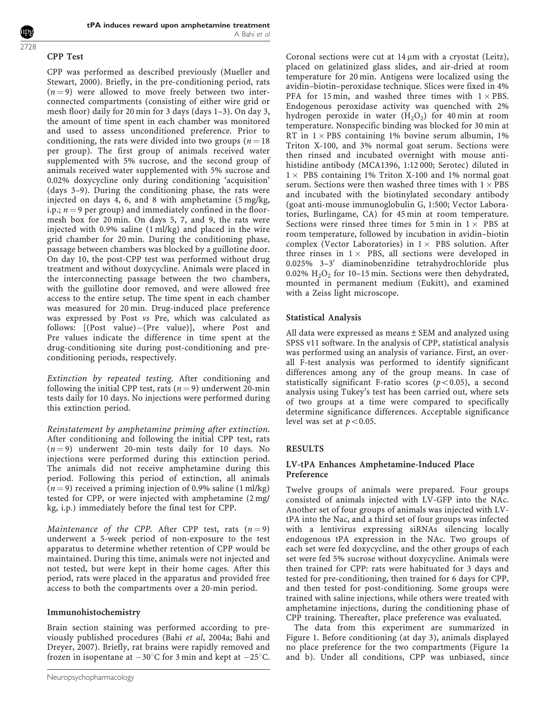#### CPP Test

CPP was performed as described previously (Mueller and Stewart, 2000). Briefly, in the pre-conditioning period, rats  $(n = 9)$  were allowed to move freely between two interconnected compartments (consisting of either wire grid or mesh floor) daily for 20 min for 3 days (days 1–3). On day 3, the amount of time spent in each chamber was monitored and used to assess unconditioned preference. Prior to conditioning, the rats were divided into two groups ( $n = 18$ ) per group). The first group of animals received water supplemented with 5% sucrose, and the second group of animals received water supplemented with 5% sucrose and 0.02% doxycycline only during conditioning 'acquisition' (days 3–9). During the conditioning phase, the rats were injected on days 4, 6, and 8 with amphetamine (5 mg/kg, i.p.;  $n = 9$  per group) and immediately confined in the floormesh box for 20 min. On days 5, 7, and 9, the rats were injected with 0.9% saline (1 ml/kg) and placed in the wire grid chamber for 20 min. During the conditioning phase, passage between chambers was blocked by a guillotine door. On day 10, the post-CPP test was performed without drug treatment and without doxycycline. Animals were placed in the interconnecting passage between the two chambers, with the guillotine door removed, and were allowed free access to the entire setup. The time spent in each chamber was measured for 20 min. Drug-induced place preference was expressed by Post vs Pre, which was calculated as follows: [(Post value)-(Pre value)], where Post and Pre values indicate the difference in time spent at the drug-conditioning site during post-conditioning and preconditioning periods, respectively.

Extinction by repeated testing. After conditioning and following the initial CPP test, rats ( $n = 9$ ) underwent 20-min tests daily for 10 days. No injections were performed during this extinction period.

Reinstatement by amphetamine priming after extinction. After conditioning and following the initial CPP test, rats  $(n = 9)$  underwent 20-min tests daily for 10 days. No injections were performed during this extinction period. The animals did not receive amphetamine during this period. Following this period of extinction, all animals  $(n = 9)$  received a priming injection of 0.9% saline (1 ml/kg) tested for CPP, or were injected with amphetamine (2 mg/ kg, i.p.) immediately before the final test for CPP.

Maintenance of the CPP. After CPP test, rats  $(n=9)$ underwent a 5-week period of non-exposure to the test apparatus to determine whether retention of CPP would be maintained. During this time, animals were not injected and not tested, but were kept in their home cages. After this period, rats were placed in the apparatus and provided free access to both the compartments over a 20-min period.

## Immunohistochemistry

Brain section staining was performed according to previously published procedures (Bahi et al, 2004a; Bahi and Dreyer, 2007). Briefly, rat brains were rapidly removed and frozen in isopentane at  $-30^{\circ}$ C for 3 min and kept at  $-25^{\circ}$ C.

Coronal sections were cut at  $14 \mu m$  with a cryostat (Leitz), placed on gelatinized glass slides, and air-dried at room temperature for 20 min. Antigens were localized using the avidin–biotin–peroxidase technique. Slices were fixed in 4% PFA for 15 min, and washed three times with  $1 \times PBS$ . Endogenous peroxidase activity was quenched with 2% hydrogen peroxide in water  $(H_2O_2)$  for 40 min at room temperature. Nonspecific binding was blocked for 30 min at RT in  $1 \times PBS$  containing 1% bovine serum albumin, 1% Triton X-100, and 3% normal goat serum. Sections were then rinsed and incubated overnight with mouse antihistidine antibody (MCA1396, 1:12 000; Serotec) diluted in  $1 \times$  PBS containing 1% Triton X-100 and 1% normal goat serum. Sections were then washed three times with  $1 \times PBS$ and incubated with the biotinylated secondary antibody (goat anti-mouse immunoglobulin G, 1:500; Vector Laboratories, Burlingame, CA) for 45 min at room temperature. Sections were rinsed three times for 5 min in  $1 \times$  PBS at room temperature, followed by incubation in avidin–biotin complex (Vector Laboratories) in  $1 \times$  PBS solution. After three rinses in  $1 \times$  PBS, all sections were developed in 0.025% 3-3' diaminobenzidine tetrahydrochloride plus 0.02%  $\rm H_2O_2$  for 10–15 min. Sections were then dehydrated, mounted in permanent medium (Eukitt), and examined with a Zeiss light microscope.

## Statistical Analysis

All data were expressed as means  $\pm$  SEM and analyzed using SPSS v11 software. In the analysis of CPP, statistical analysis was performed using an analysis of variance. First, an overall F-test analysis was performed to identify significant differences among any of the group means. In case of statistically significant F-ratio scores ( $p < 0.05$ ), a second analysis using Tukey's test has been carried out, where sets of two groups at a time were compared to specifically determine significance differences. Acceptable significance level was set at  $p < 0.05$ .

#### RESULTS

#### LV-tPA Enhances Amphetamine-Induced Place Preference

Twelve groups of animals were prepared. Four groups consisted of animals injected with LV-GFP into the NAc. Another set of four groups of animals was injected with LVtPA into the Nac, and a third set of four groups was infected with a lentivirus expressing siRNAs silencing locally endogenous tPA expression in the NAc. Two groups of each set were fed doxycycline, and the other groups of each set were fed 5% sucrose without doxycycline. Animals were then trained for CPP: rats were habituated for 3 days and tested for pre-conditioning, then trained for 6 days for CPP, and then tested for post-conditioning. Some groups were trained with saline injections, while others were treated with amphetamine injections, during the conditioning phase of CPP training. Thereafter, place preference was evaluated.

The data from this experiment are summarized in Figure 1. Before conditioning (at day 3), animals displayed no place preference for the two compartments (Figure 1a and b). Under all conditions, CPP was unbiased, since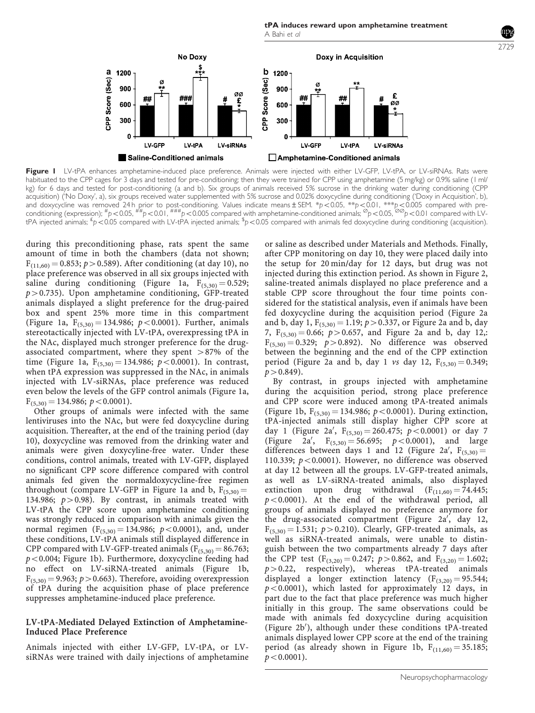tPA induces reward upon amphetamine treatment A Bahi et al



Figure I LV-tPA enhances amphetamine-induced place preference. Animals were injected with either LV-GFP, LV-tPA, or LV-siRNAs. Rats were habituated to the CPP cages for 3 days and tested for pre-conditioning; then they were trained for CPP using amphetamine (5 mg/kg) or 0.9% saline (1 ml/ kg) for 6 days and tested for post-conditioning (a and b). Six groups of animals received 5% sucrose in the drinking water during conditioning (CPP acquisition) ('No Doxy', a), six groups received water supplemented with 5% sucrose and 0.02% doxycycline during conditioning ('Doxy in Acquisition', b), and doxycycline was removed 24 h prior to post-conditioning. Values indicate means  $\pm$  SEM. \*p < 0.05, \*\*p < 0.01, \*\*\*p < 0.005 compared with preconditioning (expression);  $^{\#}p$  < 0.05,  $^{\#}$ #  $p$  < 0.01,  $^{\#}$  #  $p$  < 0.005 compared with amphetamine-conditioned animals;  $^{\varpi}p$  < 0.05,  $^{\varpi}p$  < 0.01 compared with LV $t$ PA injected animals;  ${}^t p < 0.05$  compared with LV-tPA injected animals;  ${}^s p < 0.05$  compared with animals fed doxycycline during conditioning (acquisition).

during this preconditioning phase, rats spent the same amount of time in both the chambers (data not shown;  $F_{(11,60)} = 0.853$ ;  $p > 0.589$ ). After conditioning (at day 10), no place preference was observed in all six groups injected with saline during conditioning (Figure 1a,  $F_{(5,30)} = 0.529$ ;  $p>0.735$ ). Upon amphetamine conditioning, GFP-treated animals displayed a slight preference for the drug-paired box and spent 25% more time in this compartment (Figure 1a,  $F_{(5,30)} = 134.986$ ;  $p < 0.0001$ ). Further, animals stereotactically injected with LV-tPA, overexpressing tPA in the NAc, displayed much stronger preference for the drugassociated compartment, where they spent  $>87\%$  of the time (Figure 1a,  $F_{(5,30)} = 134.986$ ;  $p < 0.0001$ ). In contrast, when tPA expression was suppressed in the NAc, in animals injected with LV-siRNAs, place preference was reduced even below the levels of the GFP control animals (Figure 1a,  $F_{(5,30)} = 134.986; p < 0.0001$ .

Other groups of animals were infected with the same lentiviruses into the NAc, but were fed doxycycline during acquisition. Thereafter, at the end of the training period (day 10), doxycycline was removed from the drinking water and animals were given doxycyline-free water. Under these conditions, control animals, treated with LV-GFP, displayed no significant CPP score difference compared with control animals fed given the normaldoxycycline-free regimen throughout (compare LV-GFP in Figure 1a and b,  $F_{(5,30)} =$ 134.986;  $p > 0.98$ ). By contrast, in animals treated with LV-tPA the CPP score upon amphetamine conditioning was strongly reduced in comparison with animals given the normal regimen  $(F_{(5,30)} = 134.986; p < 0.0001)$ , and, under these conditions, LV-tPA animals still displayed difference in CPP compared with LV-GFP-treated animals ( $F_{(5,30)} = 86.763$ ;  $p$ <0.004; Figure 1b). Furthermore, doxycycline feeding had no effect on LV-siRNA-treated animals (Figure 1b,  $F_{(5,30)} = 9.963$ ;  $p > 0.663$ ). Therefore, avoiding overexpression of tPA during the acquisition phase of place preference suppresses amphetamine-induced place preference.

#### LV-tPA-Mediated Delayed Extinction of Amphetamine-Induced Place Preference

Animals injected with either LV-GFP, LV-tPA, or LVsiRNAs were trained with daily injections of amphetamine

or saline as described under Materials and Methods. Finally, after CPP monitoring on day 10, they were placed daily into the setup for 20 min/day for 12 days, but drug was not injected during this extinction period. As shown in Figure 2, saline-treated animals displayed no place preference and a stable CPP score throughout the four time points considered for the statistical analysis, even if animals have been fed doxycycline during the acquisition period (Figure 2a and b, day 1,  $F_{(5,30)} = 1.19$ ;  $p > 0.337$ , or Figure 2a and b, day 7,  $F_{(5,30)} = 0.66$ ;  $p > 0.657$ , and Figure 2a and b, day 12,:  $F_{(5,30)} = 0.329; p > 0.892$ . No difference was observed between the beginning and the end of the CPP extinction period (Figure 2a and b, day 1 *vs* day 12,  $F_{(5,30)} = 0.349$ ;  $p > 0.849$ ).

By contrast, in groups injected with amphetamine during the acquisition period, strong place preference and CPP score were induced among tPA-treated animals (Figure 1b,  $F_{(5,30)} = 134.986$ ;  $p < 0.0001$ ). During extinction, tPA-injected animals still display higher CPP score at day 1 (Figure 2a',  $F_{(5,30)} = 260.475; p < 0.0001$ ) or day 7 (Figure 2a',  $F_{(5,30)} = 56.695; p < 0.0001$ ), and large differences between days 1 and 12 (Figure 2a',  $F_{(5,30)} =$ 110.339;  $p < 0.0001$ ). However, no difference was observed at day 12 between all the groups. LV-GFP-treated animals, as well as LV-siRNA-treated animals, also displayed extinction upon drug withdrawal  $(F_{(11,60)} = 74.445;$  $p$ <0.0001). At the end of the withdrawal period, all groups of animals displayed no preference anymore for the drug-associated compartment (Figure 2a', day 12,  $F_{(5,30)} = 1.531$ ;  $p > 0.210$ ). Clearly, GFP-treated animals, as well as siRNA-treated animals, were unable to distinguish between the two compartments already 7 days after the CPP test  $(F_{(3,20)} = 0.247; p > 0.862,$  and  $F_{(3,20)} = 1.602;$  $p > 0.22$ , respectively), whereas tPA-treated animals displayed a longer extinction latency  $(F_{(3,20)} = 95.544;$  $p < 0.0001$ ), which lasted for approximately 12 days, in part due to the fact that place preference was much higher initially in this group. The same observations could be made with animals fed doxycycline during acquisition (Figure 2b'), although under these conditions tPA-treated animals displayed lower CPP score at the end of the training period (as already shown in Figure 1b,  $F_{(11,60)} = 35.185$ ;  $p < 0.0001$ ).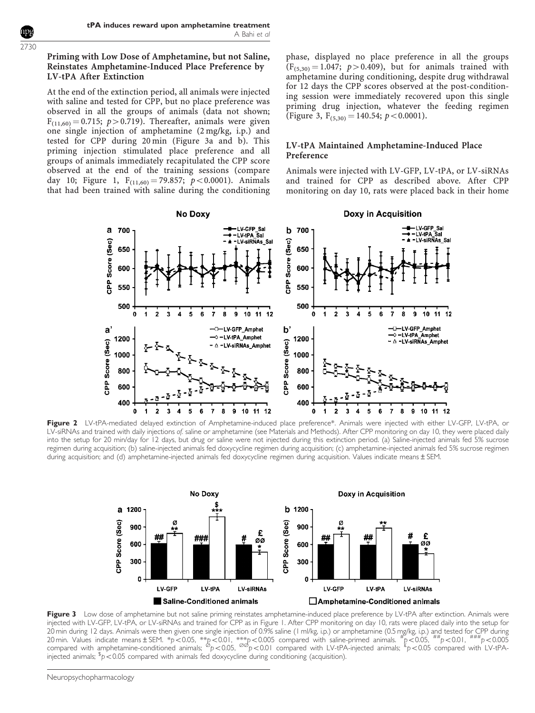#### Priming with Low Dose of Amphetamine, but not Saline, Reinstates Amphetamine-Induced Place Preference by LV-tPA After Extinction

At the end of the extinction period, all animals were injected with saline and tested for CPP, but no place preference was observed in all the groups of animals (data not shown;  $F_{(11,60)} = 0.715$ ;  $p > 0.719$ ). Thereafter, animals were given one single injection of amphetamine (2 mg/kg, i.p.) and tested for CPP during 20 min (Figure 3a and b). This priming injection stimulated place preference and all groups of animals immediately recapitulated the CPP score observed at the end of the training sessions (compare day 10; Figure 1,  $F_{(11,60)} = 79.857$ ;  $p < 0.0001$ ). Animals that had been trained with saline during the conditioning phase, displayed no place preference in all the groups  $(F_{(5,30)} = 1.047; p > 0.409)$ , but for animals trained with amphetamine during conditioning, despite drug withdrawal for 12 days the CPP scores observed at the post-conditioning session were immediately recovered upon this single priming drug injection, whatever the feeding regimen (Figure 3,  $F_{(5,30)} = 140.54$ ;  $p < 0.0001$ ).

## LV-tPA Maintained Amphetamine-Induced Place Preference

Animals were injected with LV-GFP, LV-tPA, or LV-siRNAs and trained for CPP as described above. After CPP monitoring on day 10, rats were placed back in their home



Figure 2 LV-tPA-mediated delayed extinction of Amphetamine-induced place preference\*. Animals were injected with either LV-GFP, LV-tPA, or LV-siRNAs and trained with daily injections of. saline or amphetamine (see Materials and Methods). After CPP monitoring on day 10, they were placed daily into the setup for 20 min/day for 12 days, but drug or saline were not injected during this extinction period. (a) Saline-injected animals fed 5% sucrose regimen during acquisition; (b) saline-injected animals fed doxycycline regimen during acquisition; (c) amphetamine-injected animals fed 5% sucrose regimen during acquisition; and (d) amphetamine-injected animals fed doxycycline regimen during acquisition. Values indicate means ± SEM.



Figure 3 Low dose of amphetamine but not saline priming reinstates amphetamine-induced place preference by LV-tPA after extinction. Animals were injected with LV-GFP, LV-tPA, or LV-siRNAs and trained for CPP as in Figure 1. After CPP monitoring on day 10, rats were placed daily into the setup for 20 min during 12 days. Animals were then given one single injection of 0.9% saline (1 ml/kg, i.p.) or amphetamine (0.5 mg/kg, i.p.) and tested for CPP during<br>20 min. Values indicate means ± SEM. \*p < 0.05, \*\*p < 0.01,  $\epsilon$  compared with amphetamine-conditioned animals;  $\delta$   $>$  0.05,  $\delta$   $>$  0.001 compared with LV-tPA-injected animals;  $\epsilon$   $>$  0.05 compared with LV-tPA-injected animals;  $\epsilon$   $>$  0.05 compared with LV-tPAinjected animals;  $\frac{\$}{P}$  < 0.05 compared with animals fed doxycycline during conditioning (acquisition).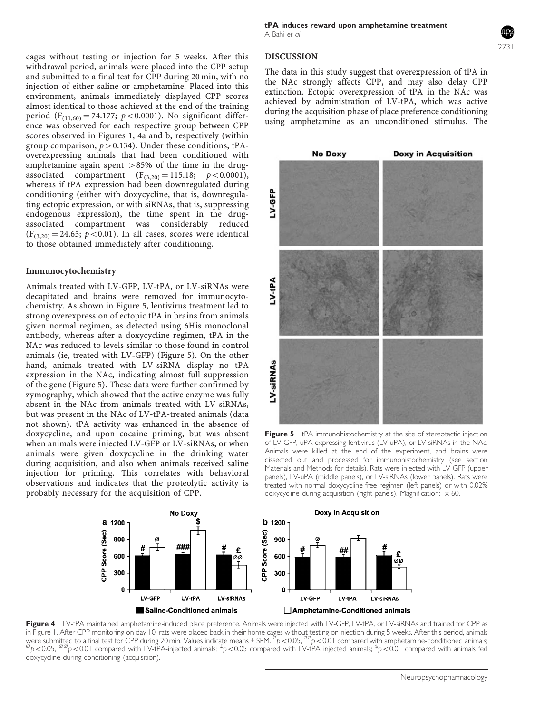cages without testing or injection for 5 weeks. After this withdrawal period, animals were placed into the CPP setup and submitted to a final test for CPP during 20 min, with no injection of either saline or amphetamine. Placed into this environment, animals immediately displayed CPP scores almost identical to those achieved at the end of the training period (F<sub>(11,60)</sub> = 74.177;  $p < 0.0001$ ). No significant difference was observed for each respective group between CPP scores observed in Figures 1, 4a and b, respectively (within group comparison,  $p > 0.134$ ). Under these conditions, tPAoverexpressing animals that had been conditioned with amphetamine again spent  $>85%$  of the time in the drugassociated compartment  $(F_{(3,20)} = 115.18; p < 0.0001)$ , whereas if tPA expression had been downregulated during conditioning (either with doxycycline, that is, downregulating ectopic expression, or with siRNAs, that is, suppressing endogenous expression), the time spent in the drugassociated compartment was considerably reduced  $(F_{(3,20)} = 24.65; p < 0.01)$ . In all cases, scores were identical to those obtained immediately after conditioning.

#### Immunocytochemistry

Animals treated with LV-GFP, LV-tPA, or LV-siRNAs were decapitated and brains were removed for immunocytochemistry. As shown in Figure 5, lentivirus treatment led to strong overexpression of ectopic tPA in brains from animals given normal regimen, as detected using 6His monoclonal antibody, whereas after a doxycycline regimen, tPA in the NAc was reduced to levels similar to those found in control animals (ie, treated with LV-GFP) (Figure 5). On the other hand, animals treated with LV-siRNA display no tPA expression in the NAc, indicating almost full suppression of the gene (Figure 5). These data were further confirmed by zymography, which showed that the active enzyme was fully absent in the NAc from animals treated with LV-siRNAs, but was present in the NAc of LV-tPA-treated animals (data not shown). tPA activity was enhanced in the absence of doxycycline, and upon cocaine priming, but was absent when animals were injected LV-GFP or LV-siRNAs, or when animals were given doxycycline in the drinking water during acquisition, and also when animals received saline injection for priming. This correlates with behavioral observations and indicates that the proteolytic activity is probably necessary for the acquisition of CPP.

# DISCUSSION

The data in this study suggest that overexpression of tPA in the NAc strongly affects CPP, and may also delay CPP extinction. Ectopic overexpression of tPA in the NAc was achieved by administration of LV-tPA, which was active during the acquisition phase of place preference conditioning using amphetamine as an unconditioned stimulus. The



Figure 5 tPA immunohistochemistry at the site of stereotactic injection of LV-GFP, uPA expressing lentivirus (LV-uPA), or LV-siRNAs in the NAc. Animals were killed at the end of the experiment, and brains were dissected out and processed for immunohistochemistry (see section Materials and Methods for details). Rats were injected with LV-GFP (upper panels), LV-uPA (middle panels), or LV-siRNAs (lower panels). Rats were treated with normal doxycycline-free regimen (left panels) or with 0.02% doxycycline during acquisition (right panels). Magnification:  $\times$  60.



Figure 4 LV-tPA maintained amphetamine-induced place preference. Animals were injected with LV-GFP, LV-tPA, or LV-siRNAs and trained for CPP as in Figure 1. After CPP monitoring on day 10, rats were placed back in their home cages without testing or injection during 5 weeks. After this period, animals<br>were submitted to a final test for CPP during 20 min. Values in  $\frac{\varphi_{\rm p}}{\varphi}$  = 0.05,  $\frac{\varphi_{\rm p}}{\varphi}$  = 0.01 compared with LV-tPA-injected animals;  $\varphi$  = 0.05 compared with LV-tPA injected animals;  $\varphi$  = 0.01 compared with animals fed doxycycline during conditioning (acquisition).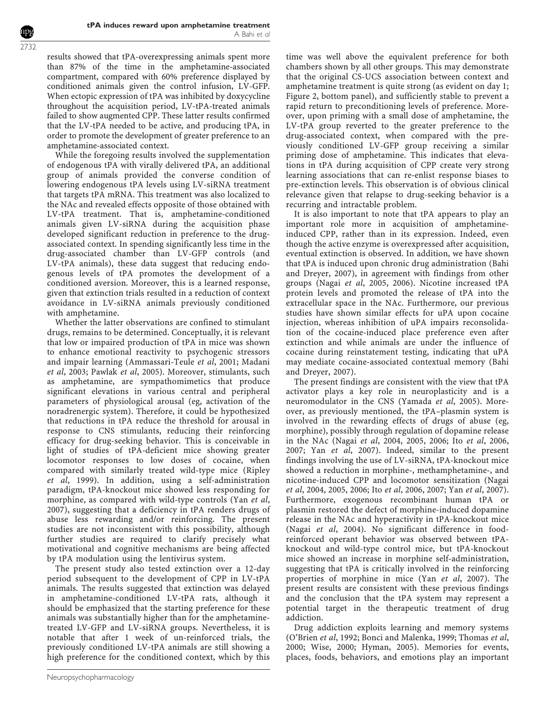results showed that tPA-overexpressing animals spent more than 87% of the time in the amphetamine-associated compartment, compared with 60% preference displayed by conditioned animals given the control infusion, LV-GFP. When ectopic expression of tPA was inhibited by doxycycline throughout the acquisition period, LV-tPA-treated animals failed to show augmented CPP. These latter results confirmed that the LV-tPA needed to be active, and producing tPA, in order to promote the development of greater preference to an amphetamine-associated context.

While the foregoing results involved the supplementation of endogenous tPA with virally delivered tPA, an additional group of animals provided the converse condition of lowering endogenous tPA levels using LV-siRNA treatment that targets tPA mRNA. This treatment was also localized to the NAc and revealed effects opposite of those obtained with LV-tPA treatment. That is, amphetamine-conditioned animals given LV-siRNA during the acquisition phase developed significant reduction in preference to the drugassociated context. In spending significantly less time in the drug-associated chamber than LV-GFP controls (and LV-tPA animals), these data suggest that reducing endogenous levels of tPA promotes the development of a conditioned aversion. Moreover, this is a learned response, given that extinction trials resulted in a reduction of context avoidance in LV-siRNA animals previously conditioned with amphetamine.

Whether the latter observations are confined to stimulant drugs, remains to be determined. Conceptually, it is relevant that low or impaired production of tPA in mice was shown to enhance emotional reactivity to psychogenic stressors and impair learning (Ammassari-Teule et al, 2001; Madani et al, 2003; Pawlak et al, 2005). Moreover, stimulants, such as amphetamine, are sympathomimetics that produce significant elevations in various central and peripheral parameters of physiological arousal (eg, activation of the noradrenergic system). Therefore, it could be hypothesized that reductions in tPA reduce the threshold for arousal in response to CNS stimulants, reducing their reinforcing efficacy for drug-seeking behavior. This is conceivable in light of studies of tPA-deficient mice showing greater locomotor responses to low doses of cocaine, when compared with similarly treated wild-type mice (Ripley et al, 1999). In addition, using a self-administration paradigm, tPA-knockout mice showed less responding for morphine, as compared with wild-type controls (Yan et al, 2007), suggesting that a deficiency in tPA renders drugs of abuse less rewarding and/or reinforcing. The present studies are not inconsistent with this possibility, although further studies are required to clarify precisely what motivational and cognitive mechanisms are being affected by tPA modulation using the lentivirus system.

The present study also tested extinction over a 12-day period subsequent to the development of CPP in LV-tPA animals. The results suggested that extinction was delayed in amphetamine-conditioned LV-tPA rats, although it should be emphasized that the starting preference for these animals was substantially higher than for the amphetaminetreated LV-GFP and LV-siRNA groups. Nevertheless, it is notable that after 1 week of un-reinforced trials, the previously conditioned LV-tPA animals are still showing a high preference for the conditioned context, which by this time was well above the equivalent preference for both chambers shown by all other groups. This may demonstrate that the original CS-UCS association between context and amphetamine treatment is quite strong (as evident on day 1; Figure 2, bottom panel), and sufficiently stable to prevent a rapid return to preconditioning levels of preference. Moreover, upon priming with a small dose of amphetamine, the LV-tPA group reverted to the greater preference to the drug-associated context, when compared with the previously conditioned LV-GFP group receiving a similar priming dose of amphetamine. This indicates that elevations in tPA during acquisition of CPP create very strong learning associations that can re-enlist response biases to pre-extinction levels. This observation is of obvious clinical relevance given that relapse to drug-seeking behavior is a recurring and intractable problem.

It is also important to note that tPA appears to play an important role more in acquisition of amphetamineinduced CPP, rather than in its expression. Indeed, even though the active enzyme is overexpressed after acquisition, eventual extinction is observed. In addition, we have shown that tPA is induced upon chronic drug administration (Bahi and Dreyer, 2007), in agreement with findings from other groups (Nagai et al, 2005, 2006). Nicotine increased tPA protein levels and promoted the release of tPA into the extracellular space in the NAc. Furthermore, our previous studies have shown similar effects for uPA upon cocaine injection, whereas inhibition of uPA impairs reconsolidation of the cocaine-induced place preference even after extinction and while animals are under the influence of cocaine during reinstatement testing, indicating that uPA may mediate cocaine-associated contextual memory (Bahi and Dreyer, 2007).

The present findings are consistent with the view that tPA activator plays a key role in neuroplasticity and is a neuromodulator in the CNS (Yamada et al, 2005). Moreover, as previously mentioned, the tPA–plasmin system is involved in the rewarding effects of drugs of abuse (eg, morphine), possibly through regulation of dopamine release in the NAc (Nagai et al, 2004, 2005, 2006; Ito et al, 2006, 2007; Yan et al, 2007). Indeed, similar to the present findings involving the use of LV-siRNA, tPA-knockout mice showed a reduction in morphine-, methamphetamine-, and nicotine-induced CPP and locomotor sensitization (Nagai et al, 2004, 2005, 2006; Ito et al, 2006, 2007; Yan et al, 2007). Furthermore, exogenous recombinant human tPA or plasmin restored the defect of morphine-induced dopamine release in the NAc and hyperactivity in tPA-knockout mice (Nagai et al, 2004). No significant difference in foodreinforced operant behavior was observed between tPAknockout and wild-type control mice, but tPA-knockout mice showed an increase in morphine self-administration, suggesting that tPA is critically involved in the reinforcing properties of morphine in mice (Yan et al, 2007). The present results are consistent with these previous findings and the conclusion that the tPA system may represent a potential target in the therapeutic treatment of drug addiction.

Drug addiction exploits learning and memory systems (O'Brien et al, 1992; Bonci and Malenka, 1999; Thomas et al, 2000; Wise, 2000; Hyman, 2005). Memories for events, places, foods, behaviors, and emotions play an important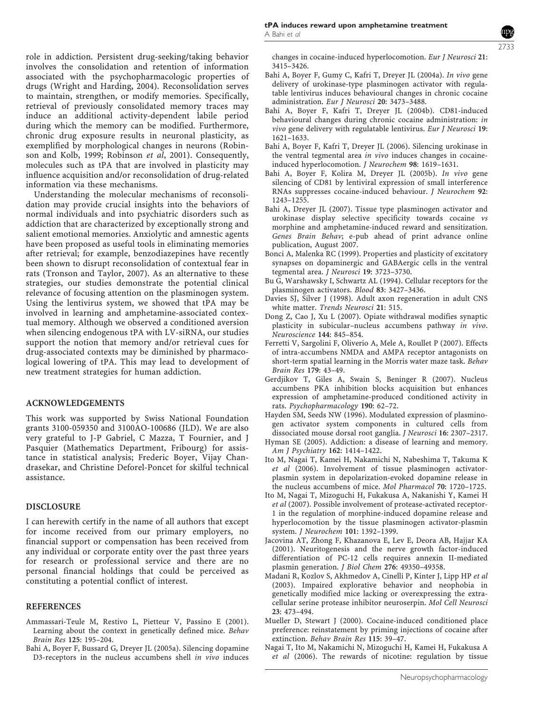role in addiction. Persistent drug-seeking/taking behavior involves the consolidation and retention of information associated with the psychopharmacologic properties of drugs (Wright and Harding, 2004). Reconsolidation serves to maintain, strengthen, or modify memories. Specifically, retrieval of previously consolidated memory traces may induce an additional activity-dependent labile period during which the memory can be modified. Furthermore, chronic drug exposure results in neuronal plasticity, as exemplified by morphological changes in neurons (Robinson and Kolb, 1999; Robinson et al, 2001). Consequently, molecules such as tPA that are involved in plasticity may influence acquisition and/or reconsolidation of drug-related information via these mechanisms.

Understanding the molecular mechanisms of reconsolidation may provide crucial insights into the behaviors of normal individuals and into psychiatric disorders such as addiction that are characterized by exceptionally strong and salient emotional memories. Anxiolytic and amnestic agents have been proposed as useful tools in eliminating memories after retrieval; for example, benzodiazepines have recently been shown to disrupt reconsolidation of contextual fear in rats (Tronson and Taylor, 2007). As an alternative to these strategies, our studies demonstrate the potential clinical relevance of focusing attention on the plasminogen system. Using the lentivirus system, we showed that tPA may be involved in learning and amphetamine-associated contextual memory. Although we observed a conditioned aversion when silencing endogenous tPA with LV-siRNA, our studies support the notion that memory and/or retrieval cues for drug-associated contexts may be diminished by pharmacological lowering of tPA. This may lead to development of new treatment strategies for human addiction.

#### ACKNOWLEDGEMENTS

This work was supported by Swiss National Foundation grants 3100-059350 and 3100AO-100686 (JLD). We are also very grateful to J-P Gabriel, C Mazza, T Fournier, and J Pasquier (Mathematics Department, Fribourg) for assistance in statistical analysis; Frederic Boyer, Vijay Chandrasekar, and Christine Deforel-Poncet for skilful technical assistance.

#### DISCLOSURE

I can herewith certify in the name of all authors that except for income received from our primary employers, no financial support or compensation has been received from any individual or corporate entity over the past three years for research or professional service and there are no personal financial holdings that could be perceived as constituting a potential conflict of interest.

#### REFERENCES

- Ammassari-Teule M, Restivo L, Pietteur V, Passino E (2001). Learning about the context in genetically defined mice. Behav Brain Res 125: 195–204.
- Bahi A, Boyer F, Bussard G, Dreyer JL (2005a). Silencing dopamine D3-receptors in the nucleus accumbens shell in vivo induces

changes in cocaine-induced hyperlocomotion. Eur J Neurosci 21: 3415–3426.

- Bahi A, Boyer F, Gumy C, Kafri T, Dreyer JL (2004a). In vivo gene delivery of urokinase-type plasminogen activator with regulatable lentivirus induces behavioural changes in chronic cocaine administration. Eur J Neurosci 20: 3473–3488.
- Bahi A, Boyer F, Kafri T, Dreyer JL (2004b). CD81-induced behavioural changes during chronic cocaine administration: in vivo gene delivery with regulatable lentivirus. Eur J Neurosci 19: 1621–1633.
- Bahi A, Boyer F, Kafri T, Dreyer JL (2006). Silencing urokinase in the ventral tegmental area in vivo induces changes in cocaineinduced hyperlocomotion. J Neurochem 98: 1619–1631.
- Bahi A, Boyer F, Kolira M, Dreyer JL (2005b). In vivo gene silencing of CD81 by lentiviral expression of small interference RNAs suppresses cocaine-induced behaviour. J Neurochem 92: 1243–1255.
- Bahi A, Dreyer JL (2007). Tissue type plasminogen activator and urokinase display selective specificity towards cocaine vs morphine and amphetamine-induced reward and sensitization. Genes Brain Behav; e-pub ahead of print advance online publication, August 2007.
- Bonci A, Malenka RC (1999). Properties and plasticity of excitatory synapses on dopaminergic and GABAergic cells in the ventral tegmental area. J Neurosci 19: 3723–3730.
- Bu G, Warshawsky I, Schwartz AL (1994). Cellular receptors for the plasminogen activators. Blood 83: 3427–3436.
- Davies SJ, Silver J (1998). Adult axon regeneration in adult CNS white matter. Trends Neurosci 21: 515.
- Dong Z, Cao J, Xu L (2007). Opiate withdrawal modifies synaptic plasticity in subicular–nucleus accumbens pathway in vivo. Neuroscience 144: 845–854.
- Ferretti V, Sargolini F, Oliverio A, Mele A, Roullet P (2007). Effects of intra-accumbens NMDA and AMPA receptor antagonists on short-term spatial learning in the Morris water maze task. Behav Brain Res 179: 43–49.
- Gerdjikov T, Giles A, Swain S, Beninger R (2007). Nucleus accumbens PKA inhibition blocks acquisition but enhances expression of amphetamine-produced conditioned activity in rats. Psychopharmacology 190: 62–72.
- Hayden SM, Seeds NW (1996). Modulated expression of plasminogen activator system components in cultured cells from dissociated mouse dorsal root ganglia. J Neurosci 16: 2307–2317.
- Hyman SE (2005). Addiction: a disease of learning and memory. Am J Psychiatry 162: 1414–1422.
- Ito M, Nagai T, Kamei H, Nakamichi N, Nabeshima T, Takuma K et al (2006). Involvement of tissue plasminogen activatorplasmin system in depolarization-evoked dopamine release in the nucleus accumbens of mice. Mol Pharmacol 70: 1720–1725.
- Ito M, Nagai T, Mizoguchi H, Fukakusa A, Nakanishi Y, Kamei H et al (2007). Possible involvement of protease-activated receptor-1 in the regulation of morphine-induced dopamine release and hyperlocomotion by the tissue plasminogen activator-plasmin system. J Neurochem 101: 1392–1399.
- Jacovina AT, Zhong F, Khazanova E, Lev E, Deora AB, Hajjar KA (2001). Neuritogenesis and the nerve growth factor-induced differentiation of PC-12 cells requires annexin II-mediated plasmin generation. J Biol Chem 276: 49350–49358.
- Madani R, Kozlov S, Akhmedov A, Cinelli P, Kinter J, Lipp HP et al (2003). Impaired explorative behavior and neophobia in genetically modified mice lacking or overexpressing the extracellular serine protease inhibitor neuroserpin. Mol Cell Neurosci 23: 473–494.
- Mueller D, Stewart J (2000). Cocaine-induced conditioned place preference: reinstatement by priming injections of cocaine after extinction. Behav Brain Res 115: 39–47.
- Nagai T, Ito M, Nakamichi N, Mizoguchi H, Kamei H, Fukakusa A et al (2006). The rewards of nicotine: regulation by tissue